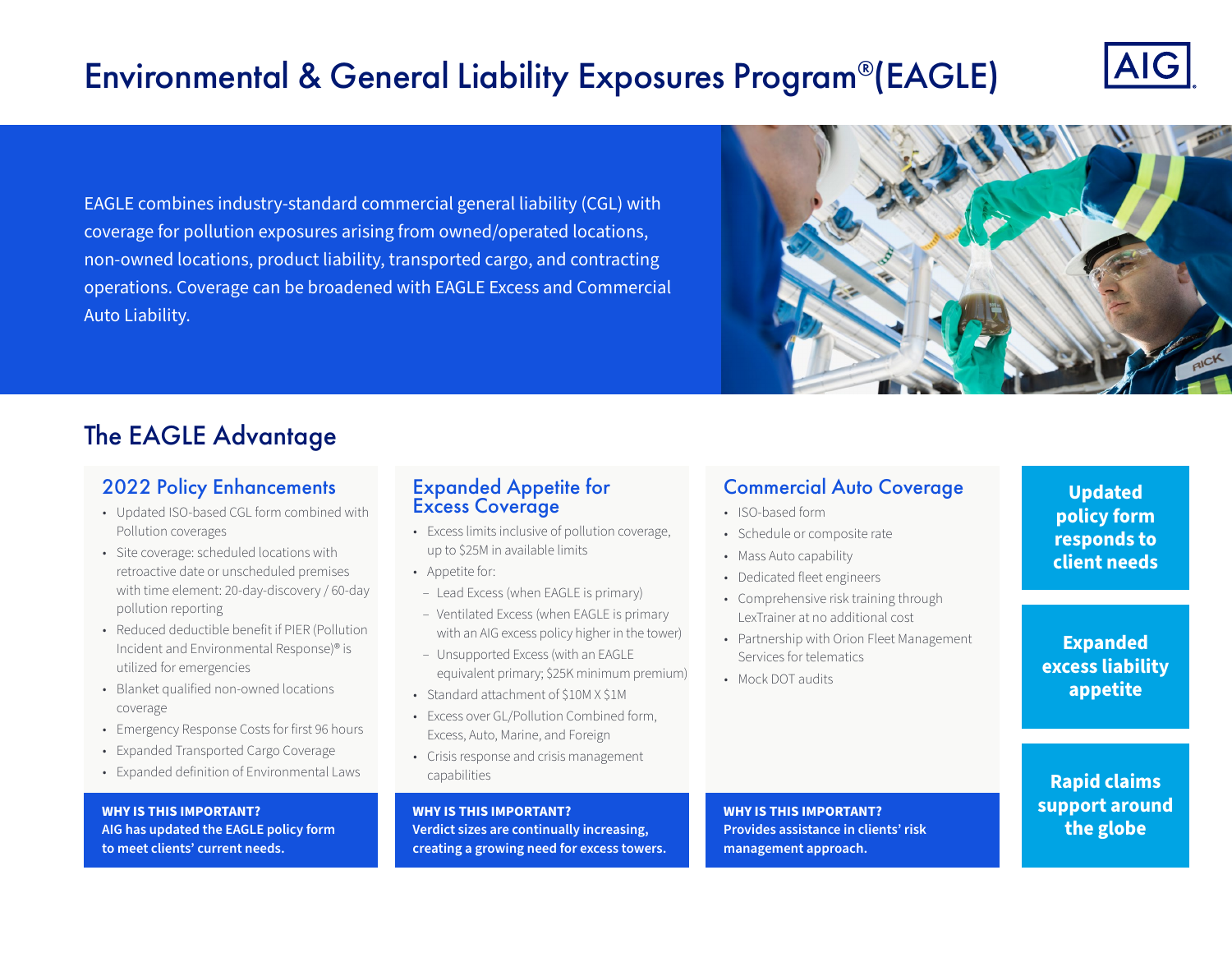# Environmental & General Liability Exposures Program®(EAGLE)



EAGLE combines industry-standard commercial general liability (CGL) with coverage for pollution exposures arising from owned/operated locations, non-owned locations, product liability, transported cargo, and contracting operations. Coverage can be broadened with EAGLE Excess and Commercial Auto Liability.



# The EAGLE Advantage

# 2022 Policy Enhancements

- Updated ISO-based CGL form combined with Pollution coverages
- Site coverage: scheduled locations with retroactive date or unscheduled premises with time element: 20-day-discovery / 60-day pollution reporting
- Reduced deductible benefit if PIER (Pollution Incident and Environmental Response)® is utilized for emergencies
- Blanket qualified non-owned locations coverage
- Emergency Response Costs for first 96 hours
- Expanded Transported Cargo Coverage
- Expanded definition of Environmental Laws

**WHY IS THIS IMPORTANT? AIG has updated the EAGLE policy form to meet clients' current needs.**

# Expanded Appetite for Excess Coverage

- Excess limits inclusive of pollution coverage, up to \$25M in available limits
- Appetite for:
- Lead Excess (when EAGLE is primary)
- Ventilated Excess (when EAGLE is primary with an AIG excess policy higher in the tower)
- Unsupported Excess (with an EAGLE equivalent primary; \$25K minimum premium)
- Standard attachment of \$10M X \$1M
- Excess over GL/Pollution Combined form, Excess, Auto, Marine, and Foreign
- Crisis response and crisis management capabilities

**WHY IS THIS IMPORTANT? Verdict sizes are continually increasing, creating a growing need for excess towers.**

# Commercial Auto Coverage

- ISO-based form
- Schedule or composite rate
- Mass Auto capability
- Dedicated fleet engineers
- Comprehensive risk training through LexTrainer at no additional cost
- Partnership with Orion Fleet Management Services for telematics
- Mock DOT audits

# **Updated policy form responds to client needs**

**Expanded excess liability appetite**

**Rapid claims support around the globe**

**WHY IS THIS IMPORTANT? Provides assistance in clients' risk management approach.**